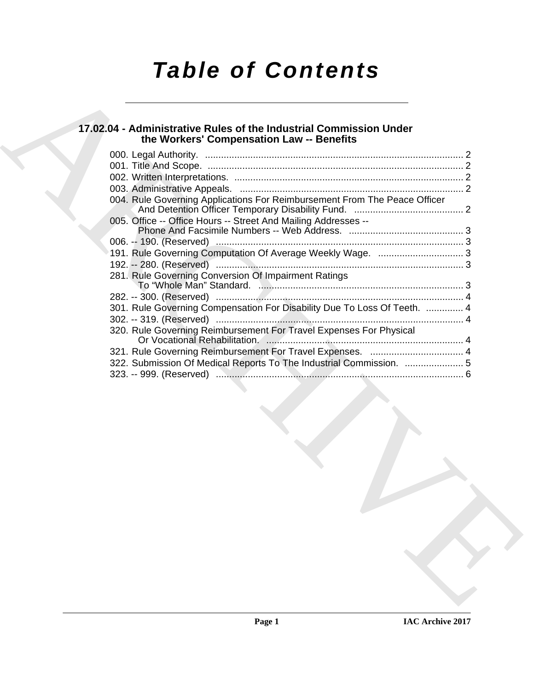# *Table of Contents*

### **17.02.04 - Administrative Rules of the Industrial Commission Under the Workers' Compensation Law -- Benefits**

| the Workers' Compensation Law -- Benefits                                 |  |
|---------------------------------------------------------------------------|--|
|                                                                           |  |
|                                                                           |  |
|                                                                           |  |
| 004. Rule Governing Applications For Reimbursement From The Peace Officer |  |
| 005. Office -- Office Hours -- Street And Mailing Addresses --            |  |
|                                                                           |  |
|                                                                           |  |
| 191. Rule Governing Computation Of Average Weekly Wage.  3                |  |
|                                                                           |  |
| 281. Rule Governing Conversion Of Impairment Ratings                      |  |
|                                                                           |  |
| 301. Rule Governing Compensation For Disability Due To Loss Of Teeth.  4  |  |
|                                                                           |  |
| 320. Rule Governing Reimbursement For Travel Expenses For Physical        |  |
|                                                                           |  |
|                                                                           |  |
| 322. Submission Of Medical Reports To The Industrial Commission.  5       |  |
|                                                                           |  |
|                                                                           |  |
|                                                                           |  |
|                                                                           |  |
|                                                                           |  |
|                                                                           |  |
|                                                                           |  |
|                                                                           |  |
|                                                                           |  |
|                                                                           |  |
|                                                                           |  |
|                                                                           |  |
|                                                                           |  |
|                                                                           |  |
|                                                                           |  |
|                                                                           |  |
|                                                                           |  |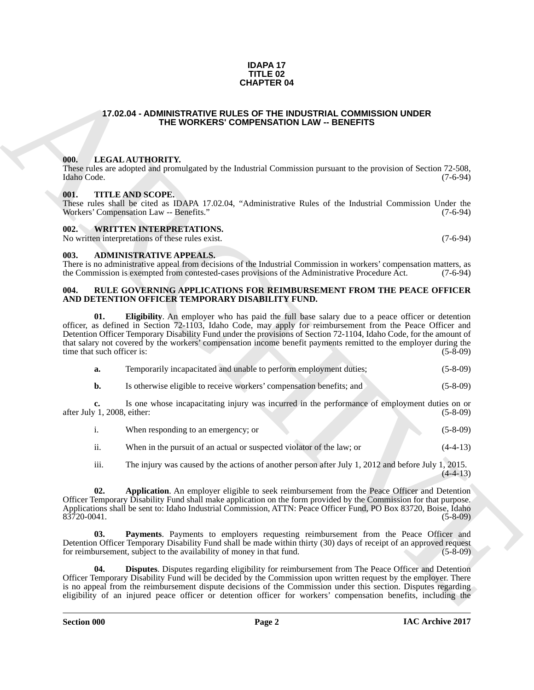#### **IDAPA 17 TITLE 02 CHAPTER 04**

#### <span id="page-1-0"></span>**17.02.04 - ADMINISTRATIVE RULES OF THE INDUSTRIAL COMMISSION UNDER THE WORKERS' COMPENSATION LAW -- BENEFITS**

#### <span id="page-1-1"></span>**000. LEGAL AUTHORITY.**

These rules are adopted and promulgated by the Industrial Commission pursuant to the provision of Section 72-508, Idaho Code. (7-6-94) Idaho Code. (7-6-94)

#### <span id="page-1-2"></span>**001. TITLE AND SCOPE.**

These rules shall be cited as IDAPA 17.02.04, "Administrative Rules of the Industrial Commission Under the Workers' Compensation Law -- Benefits." (7-6-94) Workers' Compensation Law -- Benefits."

#### <span id="page-1-3"></span>**002. WRITTEN INTERPRETATIONS.**

No written interpretations of these rules exist. (7-6-94)

<span id="page-1-4"></span>**003. ADMINISTRATIVE APPEALS.**

There is no administrative appeal from decisions of the Industrial Commission in workers' compensation matters, as the Commission is exempted from contested-cases provisions of the Administrative Procedure Act. (7-6-94)

#### <span id="page-1-9"></span><span id="page-1-6"></span><span id="page-1-5"></span>**004. RULE GOVERNING APPLICATIONS FOR REIMBURSEMENT FROM THE PEACE OFFICER AND DETENTION OFFICER TEMPORARY DISABILITY FUND.**

**CHAPTER 04**<br>
17.02.04 - ADMINISTRATIVE COMPRESS COMPENSATION LAW - BENEFITS<br>
17.02.04 - ADMINISTRATIVE COMPRESS COMPENSATION LAW - BENEFITS<br>
18. LATER UNIT ANNO VICTOR COMPRESS COMPENSATION LAW - BENEFITS<br>
18. LATER THE **01. Eligibility**. An employer who has paid the full base salary due to a peace officer or detention officer, as defined in Section 72-1103, Idaho Code, may apply for reimbursement from the Peace Officer and Detention Officer Temporary Disability Fund under the provisions of Section 72-1104, Idaho Code, for the amount of that salary not covered by the workers' compensation income benefit payments remitted to the employer during the time that such officer is: (5-8-09) (5-8)

| а. | Temporarily incapacitated and unable to perform employment duties;   | $(5-8-09)$ |
|----|----------------------------------------------------------------------|------------|
|    | Is otherwise eligible to receive workers' compensation benefits; and | $(5-8-09)$ |

**c.** Is one whose incapacitating injury was incurred in the performance of employment duties on or  $y$  1, 2008, either:  $(5-8-09)$ after July 1, 2008, either:

|               | When responding to an emergency; or                                   | $(5-8-09)$ |
|---------------|-----------------------------------------------------------------------|------------|
| $\cdot \cdot$ | When in the pursuit of an actual or suspected violator of the law; or | $(4-4-13)$ |

<span id="page-1-7"></span>iii. The injury was caused by the actions of another person after July 1, 2012 and before July 1, 2015.

**02.** Application. An employer eligible to seek reimbursement from the Peace Officer and Detention Officer Temporary Disability Fund shall make application on the form provided by the Commission for that purpose. Applications shall be sent to: Idaho Industrial Commission, ATTN: Peace Officer Fund, PO Box 83720, Boise, Idaho 83720-0041. (5-8-09)  $83\overline{7}20-0041$ .

<span id="page-1-10"></span>**03. Payments**. Payments to employers requesting reimbursement from the Peace Officer and Detention Officer Temporary Disability Fund shall be made within thirty (30) days of receipt of an approved request for reimbursement, subject to the availability of money in that fund. (5-8-09) for reimbursement, subject to the availability of money in that fund.

<span id="page-1-8"></span>**04. Disputes**. Disputes regarding eligibility for reimbursement from The Peace Officer and Detention Officer Temporary Disability Fund will be decided by the Commission upon written request by the employer. There is no appeal from the reimbursement dispute decisions of the Commission under this section. Disputes regarding eligibility of an injured peace officer or detention officer for workers' compensation benefits, including the

 $(4-4-13)$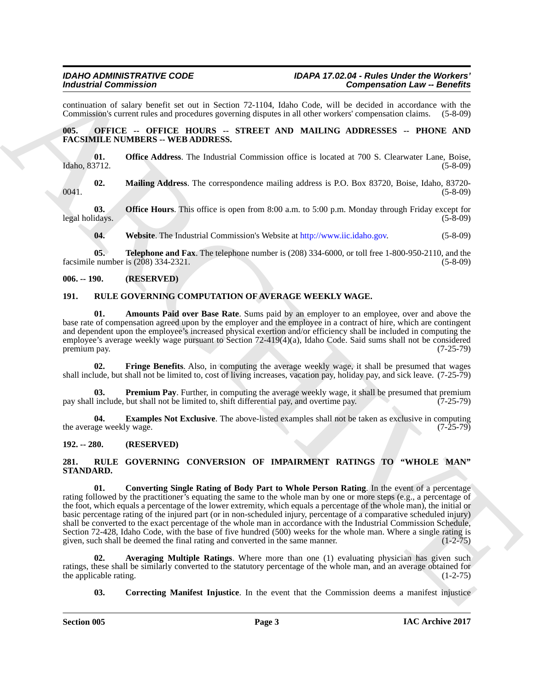continuation of salary benefit set out in Section 72-1104, Idaho Code, will be decided in accordance with the Commission's current rules and procedures governing disputes in all other workers' compensation claims. (5-8-09)

#### <span id="page-2-0"></span>**005. OFFICE -- OFFICE HOURS -- STREET AND MAILING ADDRESSES -- PHONE AND FACSIMILE NUMBERS -- WEB ADDRESS.**

**01. Office Address**. The Industrial Commission office is located at 700 S. Clearwater Lane, Boise, Idaho, 83712. (5-8-09)

**02. Mailing Address**. The correspondence mailing address is P.O. Box 83720, Boise, Idaho, 83720- 0041. (5-8-09)

**03. Office Hours**. This office is open from 8:00 a.m. to 5:00 p.m. Monday through Friday except for idays. (5-8-09) legal holidays.

**04. Website**. The Industrial Commission's Website at http://www.iic.idaho.gov. (5-8-09)

**05. Telephone and Fax**. The telephone number is (208) 334-6000, or toll free 1-800-950-2110, and the facsimile number is (208) 334-2321. (5-8-09)

#### <span id="page-2-1"></span>**006. -- 190. (RESERVED)**

#### <span id="page-2-5"></span><span id="page-2-2"></span>**191. RULE GOVERNING COMPUTATION OF AVERAGE WEEKLY WAGE.**

<span id="page-2-6"></span>**01. Amounts Paid over Base Rate**. Sums paid by an employer to an employee, over and above the base rate of compensation agreed upon by the employer and the employee in a contract of hire, which are contingent and dependent upon the employee's increased physical exertion and/or efficiency shall be included in computing the employee's average weekly wage pursuant to Section 72-419(4)(a), Idaho Code. Said sums shall not be considered premium pay. (7-25-79)

<span id="page-2-8"></span>**02. Fringe Benefits**. Also, in computing the average weekly wage, it shall be presumed that wages shall include, but shall not be limited to, cost of living increases, vacation pay, holiday pay, and sick leave. (7-25-79)

<span id="page-2-9"></span>**03. Premium Pay**. Further, in computing the average weekly wage, it shall be presumed that premium include, but shall not be limited to, shift differential pay, and overtime pay. (7-25-79) pay shall include, but shall not be limited to, shift differential pay, and overtime pay.

<span id="page-2-7"></span>**04. Examples Not Exclusive**. The above-listed examples shall not be taken as exclusive in computing ge weekly wage. (7-25-79) the average weekly wage.

#### <span id="page-2-3"></span>**192. -- 280. (RESERVED)**

#### <span id="page-2-12"></span><span id="page-2-10"></span><span id="page-2-4"></span>**281. RULE GOVERNING CONVERSION OF IMPAIRMENT RATINGS TO "WHOLE MAN" STANDARD.**

Formington Commutation" 2.11 and the state 1221 bit). Hele, Cylic with Competentation and the state 12 state 12 state 12 state 12 state 12 state 12 state 12 state 12 state 12 state 12 state 12 state 12 state 12 state 12 s **01. Converting Single Rating of Body Part to Whole Person Rating**. In the event of a percentage rating followed by the practitioner's equating the same to the whole man by one or more steps (e.g., a percentage of the foot, which equals a percentage of the lower extremity, which equals a percentage of the whole man), the initial or basic percentage rating of the injured part (or in non-scheduled injury, percentage of a comparative scheduled injury) shall be converted to the exact percentage of the whole man in accordance with the Industrial Commission Schedule, Section 72-428, Idaho Code, with the base of five hundred (500) weeks for the whole man. Where a single rating is given, such shall be deemed the final rating and converted in the same manner. (1-2-75) given, such shall be deemed the final rating and converted in the same manner.

**02. Averaging Multiple Ratings**. Where more than one (1) evaluating physician has given such ratings, these shall be similarly converted to the statutory percentage of the whole man, and an average obtained for the applicable rating. (1-2-75) the applicable rating.

<span id="page-2-13"></span><span id="page-2-11"></span>**03.** Correcting Manifest Injustice. In the event that the Commission deems a manifest injustice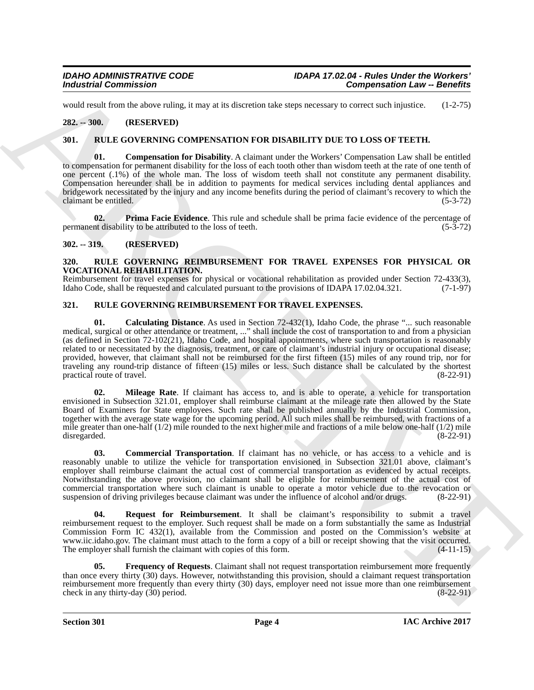would result from the above ruling, it may at its discretion take steps necessary to correct such injustice. (1-2-75)

#### <span id="page-3-0"></span>**282. -- 300. (RESERVED)**

#### <span id="page-3-5"></span><span id="page-3-1"></span>**301. RULE GOVERNING COMPENSATION FOR DISABILITY DUE TO LOSS OF TEETH.**

<span id="page-3-6"></span>**01. Compensation for Disability**. A claimant under the Workers' Compensation Law shall be entitled to compensation for permanent disability for the loss of each tooth other than wisdom teeth at the rate of one tenth of one percent (.1%) of the whole man. The loss of wisdom teeth shall not constitute any permanent disability. Compensation hereunder shall be in addition to payments for medical services including dental appliances and bridgework necessitated by the injury and any income benefits during the period of claimant's recovery to which the claimant be entitled. (5-3-72)

<span id="page-3-7"></span>**02. Prima Facie Evidence**. This rule and schedule shall be prima facie evidence of the percentage of permanent disability to be attributed to the loss of teeth. (5-3-72)

#### <span id="page-3-2"></span>**302. -- 319. (RESERVED)**

#### <span id="page-3-13"></span><span id="page-3-3"></span>**320. RULE GOVERNING REIMBURSEMENT FOR TRAVEL EXPENSES FOR PHYSICAL OR VOCATIONAL REHABILITATION.**

Reimbursement for travel expenses for physical or vocational rehabilitation as provided under Section 72-433(3), Idaho Code, shall be requested and calculated pursuant to the provisions of IDAPA 17.02.04.321. (7-1-97) Idaho Code, shall be requested and calculated pursuant to the provisions of IDAPA 17.02.04.321.

#### <span id="page-3-9"></span><span id="page-3-8"></span><span id="page-3-4"></span>**321. RULE GOVERNING REIMBURSEMENT FOR TRAVEL EXPENSES.**

For the set of the set of the set of the set of the set of the set of the set of the set of the set of the set of the set of the set of the set of the set of the set of the set of the set of the set of the set of the set **01.** Calculating Distance. As used in Section 72-432(1), Idaho Code, the phrase "... such reasonable medical, surgical or other attendance or treatment, ..." shall include the cost of transportation to and from a physician (as defined in Section 72-102(21), Idaho Code, and hospital appointments, where such transportation is reasonably related to or necessitated by the diagnosis, treatment, or care of claimant's industrial injury or occupational disease; provided, however, that claimant shall not be reimbursed for the first fifteen (15) miles of any round trip, nor for traveling any round-trip distance of fifteen (15) miles or less. Such distance shall be calculated by the shortest practical route of travel. (8-22-91)

<span id="page-3-11"></span>**02. Mileage Rate**. If claimant has access to, and is able to operate, a vehicle for transportation envisioned in Subsection 321.01, employer shall reimburse claimant at the mileage rate then allowed by the State Board of Examiners for State employees. Such rate shall be published annually by the Industrial Commission, together with the average state wage for the upcoming period. All such miles shall be reimbursed, with fractions of a mile greater than one-half (1/2) mile rounded to the next higher mile and fractions of a mile below one-half (1/2) mile disregarded.  $(8-22-91)$ disregarded. (8-22-91)

<span id="page-3-10"></span>**03. Commercial Transportation**. If claimant has no vehicle, or has access to a vehicle and is reasonably unable to utilize the vehicle for transportation envisioned in Subsection 321.01 above, claimant's employer shall reimburse claimant the actual cost of commercial transportation as evidenced by actual receipts. Notwithstanding the above provision, no claimant shall be eligible for reimbursement of the actual cost of commercial transportation where such claimant is unable to operate a motor vehicle due to the revocation or suspension of driving privileges because claimant was under the influence of alcohol and/or drugs. (8-22-91) suspension of driving privileges because claimant was under the influence of alcohol and/or drugs.

<span id="page-3-12"></span>**04. Request for Reimbursement**. It shall be claimant's responsibility to submit a travel reimbursement request to the employer. Such request shall be made on a form substantially the same as Industrial Commission Form IC 432(1), available from the Commission and posted on the Commission's website at www.iic.idaho.gov. The claimant must attach to the form a copy of a bill or receipt showing that the visit occurred. The employer shall furnish the claimant with copies of this form. (4-11-15)

**05. Frequency of Requests**. Claimant shall not request transportation reimbursement more frequently than once every thirty (30) days. However, notwithstanding this provision, should a claimant request transportation reimbursement more frequently than every thirty (30) days, employer need not issue more than one reimbursement<br>check in any thirty-day (30) period. (8-22-91) check in any thirty-day  $(30)$  period.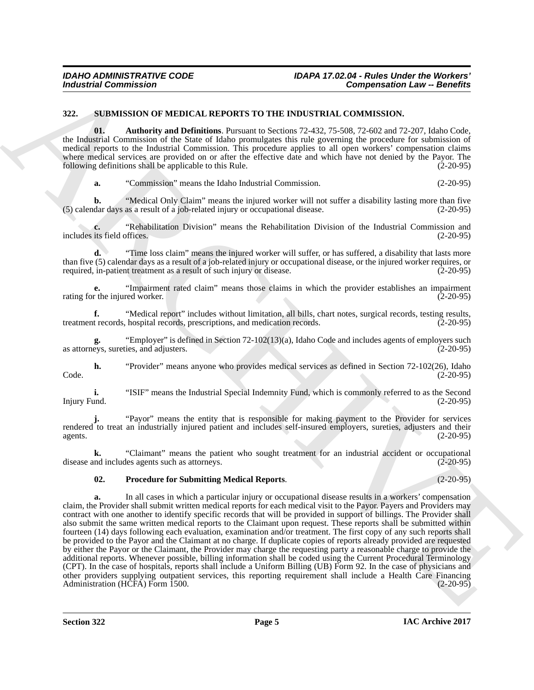#### <span id="page-4-1"></span><span id="page-4-0"></span>**322. SUBMISSION OF MEDICAL REPORTS TO THE INDUSTRIAL COMMISSION.**

<span id="page-4-2"></span>**01. Authority and Definitions**. Pursuant to Sections 72-432, 75-508, 72-602 and 72-207, Idaho Code, the Industrial Commission of the State of Idaho promulgates this rule governing the procedure for submission of medical reports to the Industrial Commission. This procedure applies to all open workers' compensation claims where medical services are provided on or after the effective date and which have not denied by the Payor. The following definitions shall be applicable to this Rule. (2-20-95)

**a.** "Commission" means the Idaho Industrial Commission. (2-20-95)

**b.** "Medical Only Claim" means the injured worker will not suffer a disability lasting more than five dar days as a result of a job-related injury or occupational disease. (2-20-95) (5) calendar days as a result of a job-related injury or occupational disease.

**c.** "Rehabilitation Division" means the Rehabilitation Division of the Industrial Commission and its field offices. (2-20-95) includes its field offices.

**d.** "Time loss claim" means the injured worker will suffer, or has suffered, a disability that lasts more than five (5) calendar days as a result of a job-related injury or occupational disease, or the injured worker requires, or required, in-patient treatment as a result of such injury or disease. (2-20-95)

**e.** "Impairment rated claim" means those claims in which the provider establishes an impairment r the injured worker. (2-20-95) rating for the injured worker.

**f.** "Medical report" includes without limitation, all bills, chart notes, surgical records, testing results, t records. hospital records, prescriptions, and medication records. treatment records, hospital records, prescriptions, and medication records.

**g.** "Employer" is defined in Section 72-102(13)(a), Idaho Code and includes agents of employers such as attorneys, sureties, and adjusters.

**h.** "Provider" means anyone who provides medical services as defined in Section 72-102(26), Idaho (2-20-95) Code. (2-20-95)

**i.** "ISIF" means the Industrial Special Indemnity Fund, which is commonly referred to as the Second Injury Fund. (2-20-95) Injury Fund. (2-20-95)

**j.** "Payor" means the entity that is responsible for making payment to the Provider for services rendered to treat an industrially injured patient and includes self-insured employers, sureties, adjusters and their agents.  $(2-20-95)$ 

**k.** "Claimant" means the patient who sought treatment for an industrial accident or occupational includes agents such as attorneys. (2-20-95) disease and includes agents such as attorneys.

#### <span id="page-4-3"></span>**02. Procedure for Submitting Medical Reports**. (2-20-95)

For the same of the same of the same of the same of the same of the same of the same of the same of the same of the same of the same of the same of the same of the same of the same of the same of the same of the same of t **a.** In all cases in which a particular injury or occupational disease results in a workers' compensation claim, the Provider shall submit written medical reports for each medical visit to the Payor. Payers and Providers may contract with one another to identify specific records that will be provided in support of billings. The Provider shall also submit the same written medical reports to the Claimant upon request. These reports shall be submitted within fourteen (14) days following each evaluation, examination and/or treatment. The first copy of any such reports shall be provided to the Payor and the Claimant at no charge. If duplicate copies of reports already provided are requested by either the Payor or the Claimant, the Provider may charge the requesting party a reasonable charge to provide the additional reports. Whenever possible, billing information shall be coded using the Current Procedural Terminology (CPT). In the case of hospitals, reports shall include a Uniform Billing (UB) Form 92. In the case of physicians and other providers supplying outpatient services, this reporting requirement shall include a Health Care Financing Administration (HCFA) Form 1500. (2-20-95)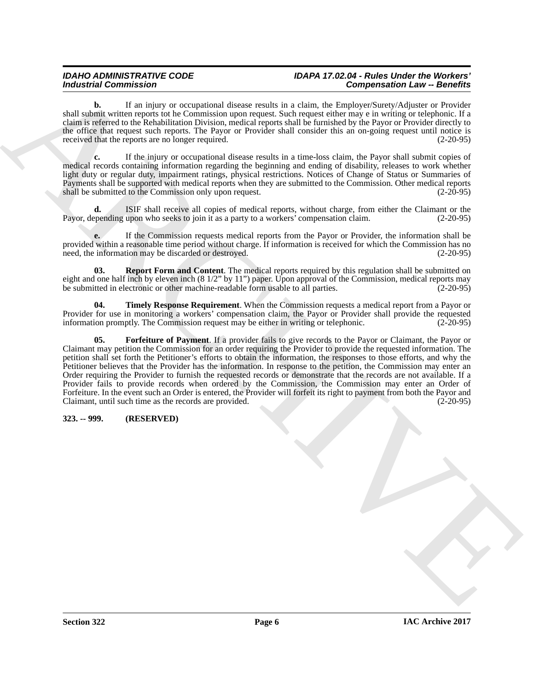#### *IDAHO ADMINISTRATIVE CODE IDAPA 17.02.04 - Rules Under the Workers' Industrial Commission Compensation Law -- Benefits*

**b.** If an injury or occupational disease results in a claim, the Employer/Surety/Adjuster or Provider shall submit written reports tot he Commission upon request. Such request either may e in writing or telephonic. If a claim is referred to the Rehabilitation Division, medical reports shall be furnished by the Payor or Provider directly to the office that request such reports. The Payor or Provider shall consider this an on-going request until notice is received that the reports are no longer required. (2-20-95)

**c.** If the injury or occupational disease results in a time-loss claim, the Payor shall submit copies of medical records containing information regarding the beginning and ending of disability, releases to work whether light duty or regular duty, impairment ratings, physical restrictions. Notices of Change of Status or Summaries of Payments shall be supported with medical reports when they are submitted to the Commission. Other medical reports shall be submitted to the Commission only upon request. (2-20-95) shall be submitted to the Commission only upon request.

**d.** ISIF shall receive all copies of medical reports, without charge, from either the Claimant or the pending upon who seeks to join it as a party to a workers' compensation claim. (2-20-95) Payor, depending upon who seeks to join it as a party to a workers' compensation claim.

**e.** If the Commission requests medical reports from the Payor or Provider, the information shall be provided within a reasonable time period without charge. If information is received for which the Commission has no<br>need, the information may be discarded or destroyed. (2-20-95) need, the information may be discarded or destroyed.

<span id="page-5-2"></span>**03. Report Form and Content**. The medical reports required by this regulation shall be submitted on eight and one half inch by eleven inch  $(8\frac{1}{2}$ " by 11") paper. Upon approval of the Commission, medical reports may be submitted in electronic or other machine-readable form usable to all parties.  $(2-20-95)$ be submitted in electronic or other machine-readable form usable to all parties.

<span id="page-5-3"></span><span id="page-5-1"></span>**04. Timely Response Requirement**. When the Commission requests a medical report from a Payor or Provider for use in monitoring a workers' compensation claim, the Payor or Provider shall provide the requested information promptly. The Commission request may be either in writing or telephonic. (2-20-95)

**Example 20** Commutation Constrained Constrained School is a shifted by Example 200 Commute 2014 of the state of the state of the state of the state of the state of the state of the state of the state of the state of the **05. Forfeiture of Payment**. If a provider fails to give records to the Payor or Claimant, the Payor or Claimant may petition the Commission for an order requiring the Provider to provide the requested information. The petition shall set forth the Petitioner's efforts to obtain the information, the responses to those efforts, and why the Petitioner believes that the Provider has the information. In response to the petition, the Commission may enter an Order requiring the Provider to furnish the requested records or demonstrate that the records are not available. If a Provider fails to provide records when ordered by the Commission, the Commission may enter an Order of Forfeiture. In the event such an Order is entered, the Provider will forfeit its right to payment from both the Payor and Claimant, until such time as the records are provided. (2-20-95) Claimant, until such time as the records are provided.

#### <span id="page-5-0"></span>**323. -- 999. (RESERVED)**